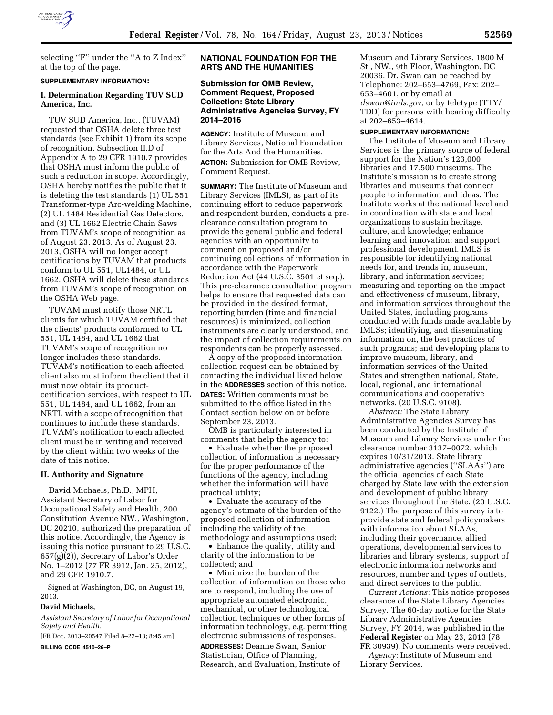

selecting ''F'' under the ''A to Z Index'' at the top of the page.

#### **SUPPLEMENTARY INFORMATION:**

### **I. Determination Regarding TUV SUD America, Inc.**

TUV SUD America, Inc., (TUVAM) requested that OSHA delete three test standards (see Exhibit 1) from its scope of recognition. Subsection II.D of Appendix A to 29 CFR 1910.7 provides that OSHA must inform the public of such a reduction in scope. Accordingly, OSHA hereby notifies the public that it is deleting the test standards (1) UL 551 Transformer-type Arc-welding Machine, (2) UL 1484 Residential Gas Detectors, and (3) UL 1662 Electric Chain Saws from TUVAM's scope of recognition as of August 23, 2013. As of August 23, 2013, OSHA will no longer accept certifications by TUVAM that products conform to UL 551, UL1484, or UL 1662. OSHA will delete these standards from TUVAM's scope of recognition on the OSHA Web page.

TUVAM must notify those NRTL clients for which TUVAM certified that the clients' products conformed to UL 551, UL 1484, and UL 1662 that TUVAM's scope of recognition no longer includes these standards. TUVAM's notification to each affected client also must inform the client that it must now obtain its productcertification services, with respect to UL 551, UL 1484, and UL 1662, from an NRTL with a scope of recognition that continues to include these standards. TUVAM's notification to each affected client must be in writing and received by the client within two weeks of the date of this notice.

#### **II. Authority and Signature**

David Michaels, Ph.D., MPH, Assistant Secretary of Labor for Occupational Safety and Health, 200 Constitution Avenue NW., Washington, DC 20210, authorized the preparation of this notice. Accordingly, the Agency is issuing this notice pursuant to 29 U.S.C. 657(g)(2)), Secretary of Labor's Order No. 1–2012 (77 FR 3912, Jan. 25, 2012), and 29 CFR 1910.7.

Signed at Washington, DC, on August 19, 2013.

#### **David Michaels,**

*Assistant Secretary of Labor for Occupational Safety and Health.* 

[FR Doc. 2013–20547 Filed 8–22–13; 8:45 am]

**BILLING CODE 4510–26–P** 

## **NATIONAL FOUNDATION FOR THE ARTS AND THE HUMANITIES**

## **Submission for OMB Review, Comment Request, Proposed Collection: State Library Administrative Agencies Survey, FY 2014–2016**

**AGENCY:** Institute of Museum and Library Services, National Foundation for the Arts And the Humanities. **ACTION:** Submission for OMB Review, Comment Request.

**SUMMARY:** The Institute of Museum and Library Services (IMLS), as part of its continuing effort to reduce paperwork and respondent burden, conducts a preclearance consultation program to provide the general public and federal agencies with an opportunity to comment on proposed and/or continuing collections of information in accordance with the Paperwork Reduction Act (44 U.S.C. 3501 et seq.). This pre-clearance consultation program helps to ensure that requested data can be provided in the desired format, reporting burden (time and financial resources) is minimized, collection instruments are clearly understood, and the impact of collection requirements on respondents can be properly assessed.

A copy of the proposed information collection request can be obtained by contacting the individual listed below in the **ADDRESSES** section of this notice.

**DATES:** Written comments must be submitted to the office listed in the Contact section below on or before September 23, 2013.

OMB is particularly interested in comments that help the agency to:

• Evaluate whether the proposed collection of information is necessary for the proper performance of the functions of the agency, including whether the information will have practical utility;

• Evaluate the accuracy of the agency's estimate of the burden of the proposed collection of information including the validity of the methodology and assumptions used;

• Enhance the quality, utility and clarity of the information to be collected; and

• Minimize the burden of the collection of information on those who are to respond, including the use of appropriate automated electronic, mechanical, or other technological collection techniques or other forms of information technology, e.g. permitting electronic submissions of responses.

**ADDRESSES:** Deanne Swan, Senior Statistician, Office of Planning, Research, and Evaluation, Institute of Museum and Library Services, 1800 M St., NW., 9th Floor, Washington, DC 20036. Dr. Swan can be reached by Telephone: 202–653–4769, Fax: 202– 653–4601, or by email at *[dswan@imls.gov,](mailto:dswan@imls.gov)* or by teletype (TTY/ TDD) for persons with hearing difficulty at 202–653–4614.

#### **SUPPLEMENTARY INFORMATION:**

The Institute of Museum and Library Services is the primary source of federal support for the Nation's 123,000 libraries and 17,500 museums. The Institute's mission is to create strong libraries and museums that connect people to information and ideas. The Institute works at the national level and in coordination with state and local organizations to sustain heritage, culture, and knowledge; enhance learning and innovation; and support professional development. IMLS is responsible for identifying national needs for, and trends in, museum, library, and information services; measuring and reporting on the impact and effectiveness of museum, library, and information services throughout the United States, including programs conducted with funds made available by IMLSs; identifying, and disseminating information on, the best practices of such programs; and developing plans to improve museum, library, and information services of the United States and strengthen national, State, local, regional, and international communications and cooperative networks. (20 U.S.C. 9108).

*Abstract:* The State Library Administrative Agencies Survey has been conducted by the Institute of Museum and Library Services under the clearance number 3137–0072, which expires 10/31/2013. State library administrative agencies (''SLAAs'') are the official agencies of each State charged by State law with the extension and development of public library services throughout the State. (20 U.S.C. 9122.) The purpose of this survey is to provide state and federal policymakers with information about SLAAs, including their governance, allied operations, developmental services to libraries and library systems, support of electronic information networks and resources, number and types of outlets, and direct services to the public.

*Current Actions:* This notice proposes clearance of the State Library Agencies Survey. The 60-day notice for the State Library Administrative Agencies Survey, FY 2014, was published in the **Federal Register** on May 23, 2013 (78 FR 30939). No comments were received. *Agency:* Institute of Museum and Library Services.